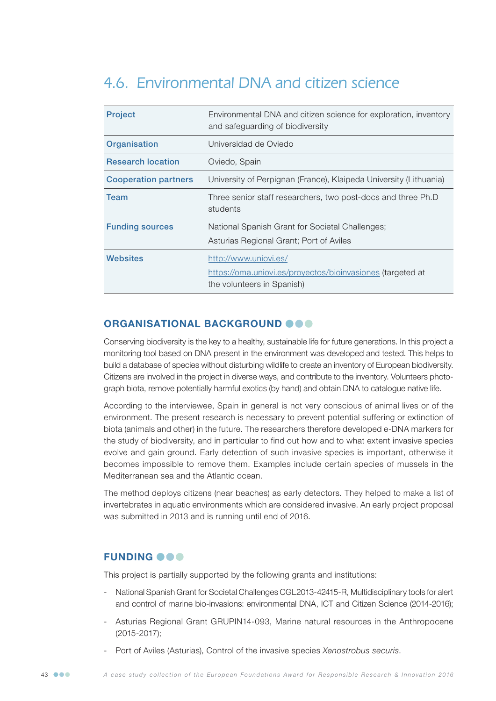# 4.6. Environmental DNA and citizen science

| <b>Project</b>              | Environmental DNA and citizen science for exploration, inventory<br>and safeguarding of biodiversity              |
|-----------------------------|-------------------------------------------------------------------------------------------------------------------|
| Organisation                | Universidad de Oviedo                                                                                             |
| <b>Research location</b>    | Oviedo, Spain                                                                                                     |
| <b>Cooperation partners</b> | University of Perpignan (France), Klaipeda University (Lithuania)                                                 |
| <b>Team</b>                 | Three senior staff researchers, two post-docs and three Ph.D<br>students                                          |
| <b>Funding sources</b>      | National Spanish Grant for Societal Challenges;<br>Asturias Regional Grant; Port of Aviles                        |
| Websites                    | http://www.uniovi.es/<br>https://oma.uniovi.es/proyectos/bioinvasiones (targeted at<br>the volunteers in Spanish) |

# ORGANISATIONAL BACKGROUND @@@

Conserving biodiversity is the key to a healthy, sustainable life for future generations. In this project a monitoring tool based on DNA present in the environment was developed and tested. This helps to build a database of species without disturbing wildlife to create an inventory of European biodiversity. Citizens are involved in the project in diverse ways, and contribute to the inventory. Volunteers photograph biota, remove potentially harmful exotics (by hand) and obtain DNA to catalogue native life.

According to the interviewee, Spain in general is not very conscious of animal lives or of the environment. The present research is necessary to prevent potential suffering or extinction of biota (animals and other) in the future. The researchers therefore developed e-DNA markers for the study of biodiversity, and in particular to find out how and to what extent invasive species evolve and gain ground. Early detection of such invasive species is important, otherwise it becomes impossible to remove them. Examples include certain species of mussels in the Mediterranean sea and the Atlantic ocean.

The method deploys citizens (near beaches) as early detectors. They helped to make a list of invertebrates in aquatic environments which are considered invasive. An early project proposal was submitted in 2013 and is running until end of 2016.

## **FUNDING OOO**

This project is partially supported by the following grants and institutions:

- National Spanish Grant for Societal Challenges CGL2013-42415-R, Multidisciplinary tools for alert and control of marine bio-invasions: environmental DNA, ICT and Citizen Science (2014-2016);
- Asturias Regional Grant GRUPIN14-093, Marine natural resources in the Anthropocene (2015-2017);
- Port of Aviles (Asturias), Control of the invasive species *Xenostrobus securis*.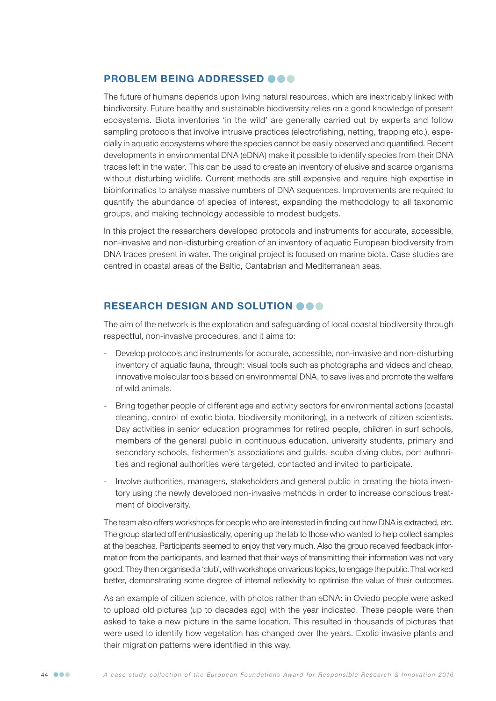## PROBLEM BEING ADDRESSED @@@

The future of humans depends upon living natural resources, which are inextricably linked with biodiversity. Future healthy and sustainable biodiversity relies on a good knowledge of present ecosystems. Biota inventories 'in the wild' are generally carried out by experts and follow sampling protocols that involve intrusive practices (electrofishing, netting, trapping etc.), especially in aquatic ecosystems where the species cannot be easily observed and quantified. Recent developments in environmental DNA (eDNA) make it possible to identify species from their DNA traces left in the water. This can be used to create an inventory of elusive and scarce organisms without disturbing wildlife. Current methods are still expensive and require high expertise in bioinformatics to analyse massive numbers of DNA sequences. Improvements are required to quantify the abundance of species of interest, expanding the methodology to all taxonomic groups, and making technology accessible to modest budgets.

In this project the researchers developed protocols and instruments for accurate, accessible, non-invasive and non-disturbing creation of an inventory of aquatic European biodiversity from DNA traces present in water. The original project is focused on marine biota. Case studies are centred in coastal areas of the Baltic, Cantabrian and Mediterranean seas.

# RESEARCH DESIGN AND SOLUTION OGO

The aim of the network is the exploration and safeguarding of local coastal biodiversity through respectful, non-invasive procedures, and it aims to:

- Develop protocols and instruments for accurate, accessible, non-invasive and non-disturbing inventory of aquatic fauna, through: visual tools such as photographs and videos and cheap, innovative molecular tools based on environmental DNA, to save lives and promote the welfare of wild animals.
- Bring together people of different age and activity sectors for environmental actions (coastal cleaning, control of exotic biota, biodiversity monitoring), in a network of citizen scientists. Day activities in senior education programmes for retired people, children in surf schools, members of the general public in continuous education, university students, primary and secondary schools, fishermen's associations and guilds, scuba diving clubs, port authorities and regional authorities were targeted, contacted and invited to participate.
- Involve authorities, managers, stakeholders and general public in creating the biota inventory using the newly developed non-invasive methods in order to increase conscious treatment of biodiversity.

The team also offers workshops for people who are interested in finding out how DNA is extracted, etc. The group started off enthusiastically, opening up the lab to those who wanted to help collect samples at the beaches. Participants seemed to enjoy that very much. Also the group received feedback information from the participants, and learned that their ways of transmitting their information was not very good. They then organised a 'club', with workshops on various topics, to engage the public. That worked better, demonstrating some degree of internal reflexivity to optimise the value of their outcomes.

As an example of citizen science, with photos rather than eDNA: in Oviedo people were asked to upload old pictures (up to decades ago) with the year indicated. These people were then asked to take a new picture in the same location. This resulted in thousands of pictures that were used to identify how vegetation has changed over the years. Exotic invasive plants and their migration patterns were identified in this way.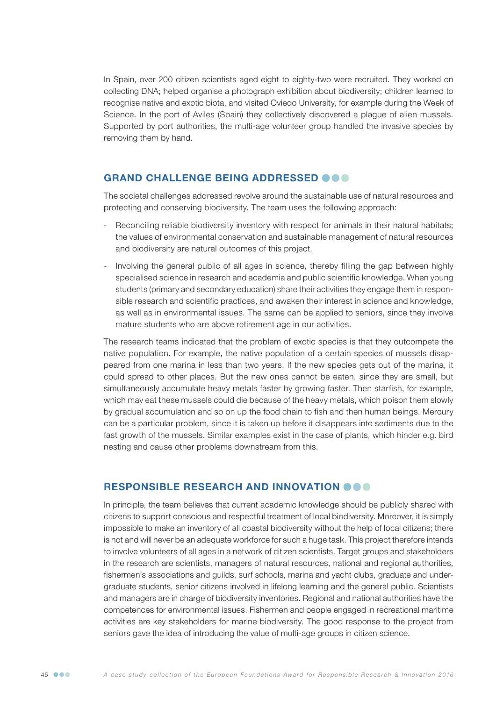In Spain, over 200 citizen scientists aged eight to eighty-two were recruited. They worked on collecting DNA; helped organise a photograph exhibition about biodiversity; children learned to recognise native and exotic biota, and visited Oviedo University, for example during the Week of Science. In the port of Aviles (Spain) they collectively discovered a plague of alien mussels. Supported by port authorities, the multi-age volunteer group handled the invasive species by removing them by hand.

#### GRAND CHALLENGE BEING ADDRESSED OOO

The societal challenges addressed revolve around the sustainable use of natural resources and protecting and conserving biodiversity. The team uses the following approach:

- Reconciling reliable biodiversity inventory with respect for animals in their natural habitats; the values of environmental conservation and sustainable management of natural resources and biodiversity are natural outcomes of this project.
- Involving the general public of all ages in science, thereby filling the gap between highly specialised science in research and academia and public scientific knowledge. When young students (primary and secondary education) share their activities they engage them in responsible research and scientific practices, and awaken their interest in science and knowledge, as well as in environmental issues. The same can be applied to seniors, since they involve mature students who are above retirement age in our activities.

The research teams indicated that the problem of exotic species is that they outcompete the native population. For example, the native population of a certain species of mussels disappeared from one marina in less than two years. If the new species gets out of the marina, it could spread to other places. But the new ones cannot be eaten, since they are small, but simultaneously accumulate heavy metals faster by growing faster. Then starfish, for example, which may eat these mussels could die because of the heavy metals, which poison them slowly by gradual accumulation and so on up the food chain to fish and then human beings. Mercury can be a particular problem, since it is taken up before it disappears into sediments due to the fast growth of the mussels. Similar examples exist in the case of plants, which hinder e.g. bird nesting and cause other problems downstream from this.

## RESPONSIBLE RESEARCH AND INNOVATION OOO

In principle, the team believes that current academic knowledge should be publicly shared with citizens to support conscious and respectful treatment of local biodiversity. Moreover, it is simply impossible to make an inventory of all coastal biodiversity without the help of local citizens; there is not and will never be an adequate workforce for such a huge task. This project therefore intends to involve volunteers of all ages in a network of citizen scientists. Target groups and stakeholders in the research are scientists, managers of natural resources, national and regional authorities, fishermen's associations and guilds, surf schools, marina and yacht clubs, graduate and undergraduate students, senior citizens involved in lifelong learning and the general public. Scientists and managers are in charge of biodiversity inventories. Regional and national authorities have the competences for environmental issues. Fishermen and people engaged in recreational maritime activities are key stakeholders for marine biodiversity. The good response to the project from seniors gave the idea of introducing the value of multi-age groups in citizen science.